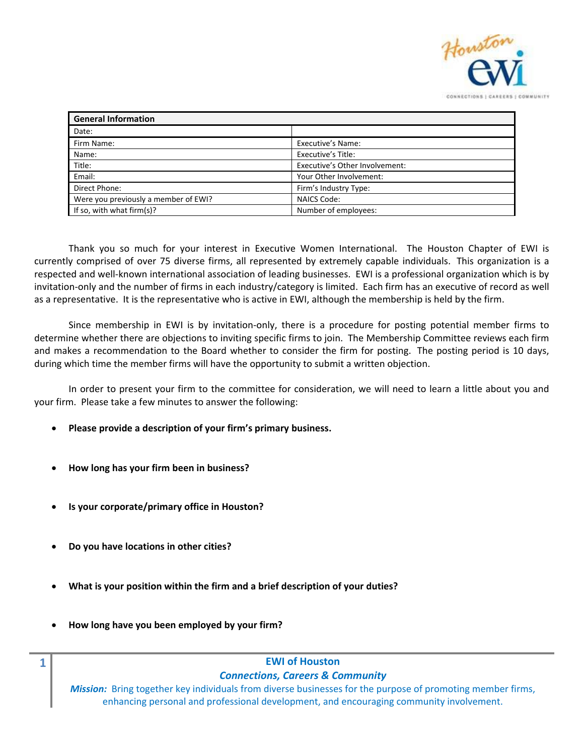

| <b>General Information</b>           |                                |
|--------------------------------------|--------------------------------|
| Date:                                |                                |
| Firm Name:                           | Executive's Name:              |
| Name:                                | Executive's Title:             |
| Title:                               | Executive's Other Involvement: |
| Email:                               | Your Other Involvement:        |
| Direct Phone:                        | Firm's Industry Type:          |
| Were you previously a member of EWI? | <b>NAICS Code:</b>             |
| If so, with what firm(s)?            | Number of employees:           |

Thank you so much for your interest in Executive Women International. The Houston Chapter of EWI is currently comprised of over 75 diverse firms, all represented by extremely capable individuals. This organization is a respected and well-known international association of leading businesses. EWI is a professional organization which is by invitation-only and the number of firms in each industry/category is limited. Each firm has an executive of record as well as a representative. It is the representative who is active in EWI, although the membership is held by the firm.

Since membership in EWI is by invitation-only, there is a procedure for posting potential member firms to determine whether there are objections to inviting specific firms to join. The Membership Committee reviews each firm and makes a recommendation to the Board whether to consider the firm for posting. The posting period is 10 days, during which time the member firms will have the opportunity to submit a written objection.

In order to present your firm to the committee for consideration, we will need to learn a little about you and your firm. Please take a few minutes to answer the following:

- **Please provide a description of your firm's primary business.**
- **How long has your firm been in business?**
- **Is your corporate/primary office in Houston?**
- **Do you have locations in other cities?**
- **What is your position within the firm and a brief description of your duties?**
- **How long have you been employed by your firm?**

## **1 EWI of Houston**  *Connections, Careers & Community*

*Mission:* Bring together key individuals from diverse businesses for the purpose of promoting member firms, enhancing personal and professional development, and encouraging community involvement.